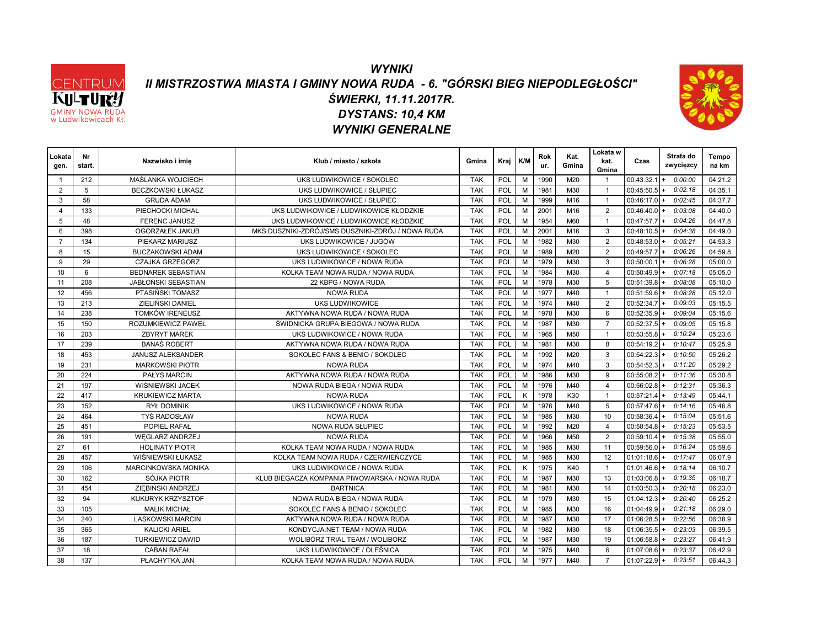

#### *WYNIKI II MISTRZOSTWA MIASTA I GMINY NOWA RUDA - 6. "GÓRSKI BIEG NIEPODLEGŁOŚCI" DYSTANS: 10,4 KM ŚWIERKI, 11.11.2017R. WYNIKI GENERALNE*



| Lokata<br>gen. | Nr<br>start. | Nazwisko i imie            | Klub / miasto / szkoła                            | Gmina      | Kraj       | K/M | Rok<br>ur. | Kat.<br>Gmina | Lokata w<br>kat.<br>Gmina | Czas           | Strata do<br>zwycięzcy | Tempo<br>na km |
|----------------|--------------|----------------------------|---------------------------------------------------|------------|------------|-----|------------|---------------|---------------------------|----------------|------------------------|----------------|
|                | 212          | <b>MAŚLANKA WOJCIECH</b>   | UKS LUDWIKOWICE / SOKOLEC                         | <b>TAK</b> | POL        | M   | 1990       | M20           |                           | 00:43:32.1     | 0:00:00                | 04:21.2        |
| 2              | 5            | <b>BECZKOWSKI ŁUKASZ</b>   | UKS LUDWIKOWICE / SŁUPIEC                         | <b>TAK</b> | POL        | M   | 1981       | M30           | $\overline{1}$            | 00:45:50.5     | 0:02:18                | 04:35.1        |
| 3              | 58           | <b>GRUDA ADAM</b>          | UKS LUDWIKOWICE / SŁUPIEC                         | <b>TAK</b> | POL        | M   | 1999       | M16           | $\overline{1}$            | $00:46:17.0 +$ | 0:02:45                | 04:37.7        |
| $\overline{4}$ | 133          | PIECHOCKI MICHAŁ           | UKS LUDWIKOWICE / LUDWIKOWICE KŁODZKIE            | <b>TAK</b> | POL        | M   | 2001       | M16           | 2                         | 00:46:40.0     | 0:03:08                | 04:40.0        |
| 5              | 48           | <b>FERENC JANUSZ</b>       | UKS LUDWIKOWICE / LUDWIKOWICE KŁODZKIE            | <b>TAK</b> | POL        | M   | 1954       | M60           | $\overline{1}$            | 00:47:57.7     | 0:04:26                | 04:47.8        |
| 6              | 398          | OGORZAŁEK JAKUB            | MKS DUSZNIKI-ZDRÓJ/SMS DUSZNIKI-ZDRÓJ / NOWA RUDA | <b>TAK</b> | POL        | M   | 2001       | M16           | 3                         | 00:48:10.5     | 0:04:38                | 04:49.0        |
| $\overline{7}$ | 134          | PIEKARZ MARIUSZ            | UKS LUDWIKOWICE / JUGÓW                           | <b>TAK</b> | POL        | M   | 1982       | M30           | $\overline{2}$            | 00:48:53.0     | 0:05:21                | 04:53.3        |
| 8              | 15           | <b>BUCZAKOWSKI ADAM</b>    | UKS LUDWIKOWICE / SOKOLEC                         | <b>TAK</b> | POL        | M   | 1989       | M20           | 2                         | 00:49:57.7     | 0:06:26                | 04:59.8        |
| 9              | 29           | <b>CZAJKA GRZEGORZ</b>     | UKS LUDWIKOWICE / NOWA RUDA                       | <b>TAK</b> | POL        | M   | 1979       | M30           | 3                         | 00:50:00.1     | 0:06:28                | 05:00.0        |
| 10             | 6            | <b>BEDNAREK SEBASTIAN</b>  | KOLKA TEAM NOWA RUDA / NOWA RUDA                  | <b>TAK</b> | POL        | M   | 1984       | M30           | $\overline{4}$            | 00:50:49.9     | 0:07:18                | 05:05.0        |
| 11             | 208          | <b>JABŁOŃSKI SEBASTIAN</b> | 22 KBPG / NOWA RUDA                               | <b>TAK</b> | POL        | M   | 1978       | M30           | 5                         | 00:51:39.8     | 0:08:08                | 05:10.0        |
| 12             | 456          | PTASIŃSKI TOMASZ           | <b>NOWA RUDA</b>                                  | <b>TAK</b> | POL        | M   | 1977       | M40           | $\overline{1}$            | 00:51:59.6     | 0:08:28                | 05:12.0        |
| 13             | 213          | ZIELIŃSKI DANIEL           | <b>UKS LUDWIKOWICE</b>                            | <b>TAK</b> | <b>POL</b> | M   | 1974       | M40           | 2                         | 00:52:34.7     | 0:09:03                | 05:15.5        |
| 14             | 238          | <b>TOMKÓW IRENEUSZ</b>     | AKTYWNA NOWA RUDA / NOWA RUDA                     | <b>TAK</b> | POL        | M   | 1978       | M30           | 6                         | $00:52:35.9$ + | 0:09:04                | 05:15.6        |
| 15             | 150          | ROZUMKIEWICZ PAWEŁ         | ŚWIDNICKA GRUPA BIEGOWA / NOWA RUDA               | <b>TAK</b> | POL        | M   | 1987       | M30           | $\overline{7}$            | 00:52:37.5     | 0:09:05                | 05:15.8        |
| 16             | 203          | <b>ZBYRYT MAREK</b>        | UKS LUDWIKOWICE / NOWA RUDA                       | <b>TAK</b> | POL        | M   | 1965       | M50           | $\overline{1}$            | 00:53:55.8     | 0:10:24                | 05:23.6        |
| 17             | 239          | <b>BANAŚ ROBERT</b>        | AKTYWNA NOWA RUDA / NOWA RUDA                     | <b>TAK</b> | POL        | M   | 1981       | M30           | 8                         | 00:54:19.2     | 0:10:47                | 05:25.9        |
| 18             | 453          | JANUSZ ALEKSANDER          | SOKOLEC FANS & BENIO / SOKOLEC                    | <b>TAK</b> | <b>POL</b> | M   | 1992       | M20           | 3                         | 00:54:22.3     | 0:10:50                | 05:26.2        |
| 19             | 231          | <b>MARKOWSKI PIOTR</b>     | <b>NOWA RUDA</b>                                  | <b>TAK</b> | <b>POL</b> | M   | 1974       | M40           | 3                         | 00:54:52.3     | 0:11:20                | 05:29.2        |
| 20             | 224          | <b>PAŁYS MARCIN</b>        | AKTYWNA NOWA RUDA / NOWA RUDA                     | <b>TAK</b> | <b>POL</b> | M   | 1986       | M30           | 9                         | 00:55:08.2     | 0:11:36                | 05:30.8        |
| 21             | 197          | WIŚNIEWSKI JACEK           | NOWA RUDA BIEGA / NOWA RUDA                       | <b>TAK</b> | POL        | M   | 1976       | M40           | $\overline{4}$            | 00:56:02.8     | 0:12:31                | 05:36.3        |
| 22             | 417          | <b>KRUKIEWICZ MARTA</b>    | <b>NOWA RUDA</b>                                  | <b>TAK</b> | <b>POL</b> | K   | 1978       | K30           | $\overline{1}$            | 00:57:21.4     | 0:13:49                | 05:44.1        |
| 23             | 152          | <b>RYŁ DOMINIK</b>         | UKS LUDWIKOWICE / NOWA RUDA                       | <b>TAK</b> | <b>POL</b> | M   | 1976       | M40           | 5                         | 00:57:47.6     | 0:14:16                | 05:46.8        |
| 24             | 464          | TYŚ RADOSŁAW               | <b>NOWA RUDA</b>                                  | <b>TAK</b> | <b>POL</b> | M   | 1985       | M30           | 10                        | 00:58:36.4     | 0:15:04                | 05:51.6        |
| 25             | 451          | POPIEL RAFAŁ               | <b>NOWA RUDA SŁUPIEC</b>                          | <b>TAK</b> | <b>POL</b> | M   | 1992       | M20           | $\overline{4}$            | 00:58:54.8     | 0:15:23                | 05:53.5        |
| 26             | 191          | <b>WEGLARZ ANDRZEJ</b>     | <b>NOWA RUDA</b>                                  | <b>TAK</b> | POL        | M   | 1966       | M50           | $\overline{2}$            | 00:59:10.4     | 0:15:38                | 05:55.0        |
| 27             | 61           | <b>HOLINATY PIOTR</b>      | KOLKA TEAM NOWA RUDA / NOWA RUDA                  | <b>TAK</b> | POL        | M   | 1985       | M30           | 11                        | 00:59:56.0     | 0:16:24                | 05:59.6        |
| 28             | 457          | WIŚNIEWSKI ŁUKASZ          | KOLKA TEAM NOWA RUDA / CZERWIEŃCZYCE              | <b>TAK</b> | POL        | M   | 1985       | M30           | 12                        | 01:01:18.6     | 0:17:47                | 06:07.9        |
| 29             | 106          | <b>MARCINKOWSKA MONIKA</b> | UKS LUDWIKOWICE / NOWA RUDA                       | <b>TAK</b> | POL        | K   | 1975       | K40           | $\overline{1}$            | 01:01:46.6     | 0:18:14                | 06:10.7        |
| 30             | 162          | SÓJKA PIOTR                | KLUB BIEGACZA KOMPANIA PIWOWARSKA / NOWA RUDA     | <b>TAK</b> | POL        | M   | 1987       | M30           | 13                        | 01:03:06.8     | 0:19:35                | 06:18.7        |
| 31             | 454          | ZIEBIŃSKI ANDRZEJ          | <b>BARTNICA</b>                                   | <b>TAK</b> | POL        | M   | 1981       | M30           | 14                        | 01:03:50.3     | 0:20:18                | 06:23.0        |
| 32             | 94           | KUKURYK KRZYSZTOF          | NOWA RUDA BIEGA / NOWA RUDA                       | <b>TAK</b> | POL        | M   | 1979       | M30           | 15                        | 01:04:12.3     | 0:20:40                | 06:25.2        |
| 33             | 105          | <b>MALIK MICHAŁ</b>        | SOKOLEC FANS & BENIO / SOKOLEC                    | <b>TAK</b> | POL        | M   | 1985       | M30           | 16                        | $01:04:49.9$ + | 0:21:18                | 06:29.0        |
| 34             | 240          | <b>LASKOWSKI MARCIN</b>    | AKTYWNA NOWA RUDA / NOWA RUDA                     | <b>TAK</b> | POL        | M   | 1987       | M30           | 17                        | 01:06:28.5     | 0:22:56                | 06:38.9        |
| 35             | 365          | <b>KALICKI ARIEL</b>       | KONDYCJA.NET TEAM / NOWA RUDA                     | <b>TAK</b> | POL        | M   | 1982       | M30           | 18                        | 01:06:35.5     | 0:23:03                | 06:39.5        |
| 36             | 187          | TURKIEWICZ DAWID           | WOLIBÓRZ TRIAL TEAM / WOLIBÓRZ                    | <b>TAK</b> | POL        | M   | 1987       | M30           | 19                        | 01:06:58.8     | 0:23:27                | 06:41.9        |
| 37             | 18           | <b>CABAN RAFAL</b>         | UKS LUDWIKOWICE / OLEŚNICA                        | <b>TAK</b> | POL        | M   | 1975       | M40           | 6                         | 01:07:08.6     | 0:23:37                | 06:42.9        |
| 38             | 137          | PŁACHYTKA JAN              | KOLKA TEAM NOWA RUDA / NOWA RUDA                  | <b>TAK</b> | POL        | M   | 1977       | M40           | $\overline{7}$            | $01:07:22.9$ + | 0:23:51                | 06:44.3        |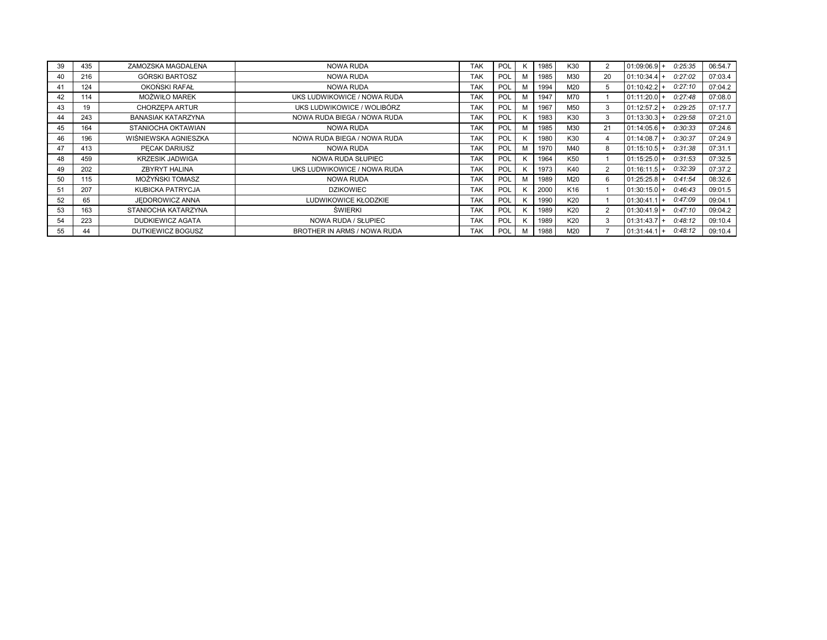| 39 | 435 | ZAMOZSKA MAGDALENA        | <b>NOWA RUDA</b>            | <b>TAK</b> | POL        |   | 1985 | K30             | $\overline{2}$ | $01:09:06.9+$  | 0:25:35 | 06:54.7 |
|----|-----|---------------------------|-----------------------------|------------|------------|---|------|-----------------|----------------|----------------|---------|---------|
| 40 | 216 | GÓRSKI BARTOSZ            | <b>NOWA RUDA</b>            | <b>TAK</b> | POL        | M | 1985 | M30             | 20             | $01:10:34.4$ + | 0:27:02 | 07:03.4 |
| 41 | 124 | OKOŃSKI RAFAŁ             | <b>NOWA RUDA</b>            | <b>TAK</b> | POL        | M | 1994 | M20             | 5              | 01:10:42.2     | 0:27:10 | 07:04.2 |
| 42 | 114 | MOŻWIŁO MAREK             | UKS LUDWIKOWICE / NOWA RUDA | <b>TAK</b> | POL        | M | 1947 | M70             |                | $01:11:20.0+$  | 0:27:48 | 07:08.0 |
| 43 | 19  | CHORZEPA ARTUR            | UKS LUDWIKOWICE / WOLIBÓRZ  | <b>TAK</b> | POL        | м | 1967 | M <sub>50</sub> | 3              | 01:12:57.2     | 0:29:25 | 07:17.7 |
| 44 | 243 | <b>BANASIAK KATARZYNA</b> | NOWA RUDA BIEGA / NOWA RUDA | <b>TAK</b> | POL        |   | 1983 | K30             | 3              | $01:13:30.3 +$ | 0:29:58 | 07:21.0 |
| 45 | 164 | STANIOCHA OKTAWIAN        | <b>NOWA RUDA</b>            | <b>TAK</b> | POL        | M | 1985 | M30             | 21             | $01:14:05.6$ + | 0:30:33 | 07:24.6 |
| 46 | 196 | WIŚNIEWSKA AGNIESZKA      | NOWA RUDA BIEGA / NOWA RUDA | <b>TAK</b> | POL        |   | 1980 | K30             |                | 01:14:08.7     | 0:30:37 | 07:24.9 |
| 47 | 413 | PECAK DARIUSZ             | <b>NOWA RUDA</b>            | <b>TAK</b> | POL        | м | 1970 | M40             | 8              | $01:15:10.5$ + | 0:31:38 | 07:31.1 |
| 48 | 459 | <b>KRZESIK JADWIGA</b>    | NOWA RUDA SŁUPIEC           | <b>TAK</b> | POL        |   | 1964 | K <sub>50</sub> |                | 01:15:25.0     | 0:31:53 | 07:32.5 |
| 49 | 202 | <b>ZBYRYT HALINA</b>      | UKS LUDWIKOWICE / NOWA RUDA | <b>TAK</b> | POL        |   | 1973 | K40             | 2              | $01:16:11.5$ + | 0:32:39 | 07:37.2 |
| 50 | 115 | MOŻYŃSKI TOMASZ           | <b>NOWA RUDA</b>            | <b>TAK</b> | POL        | M | 1989 | M20             | 6              | $01:25:25.8$ + | 0:41:54 | 08:32.6 |
|    | 207 | KUBICKA PATRYCJA          | <b>DZIKOWIEC</b>            | <b>TAK</b> | POL        |   | 2000 | K16             |                | $01:30:15.0 +$ | 0:46:43 | 09:01.5 |
| 52 | 65  | JEDOROWICZ ANNA           | LUDWIKOWICE KŁODZKIE        | <b>TAK</b> | POL        |   | 1990 | K20             |                | 01:30:41.      | 0:47:09 | 09:04.1 |
| 53 | 163 | STANIOCHA KATARZYNA       | ŚWIERKI                     | <b>TAK</b> | POL        |   | 1989 | K20             |                | $01:30:41.9$ + | 0:47:10 | 09:04.2 |
| 54 | 223 | <b>DUDKIEWICZ AGATA</b>   | NOWA RUDA / SŁUPIEC         | <b>TAK</b> | POL        |   | 1989 | K20             | 3              | 01:31:43.7     | 0:48:12 | 09:10.4 |
| 55 | 44  | DUTKIEWICZ BOGUSZ         | BROTHER IN ARMS / NOWA RUDA | <b>TAK</b> | <b>POL</b> | м | 1988 | M20             |                | $01:31:44.1$ + | 0:48:12 | 09:10.4 |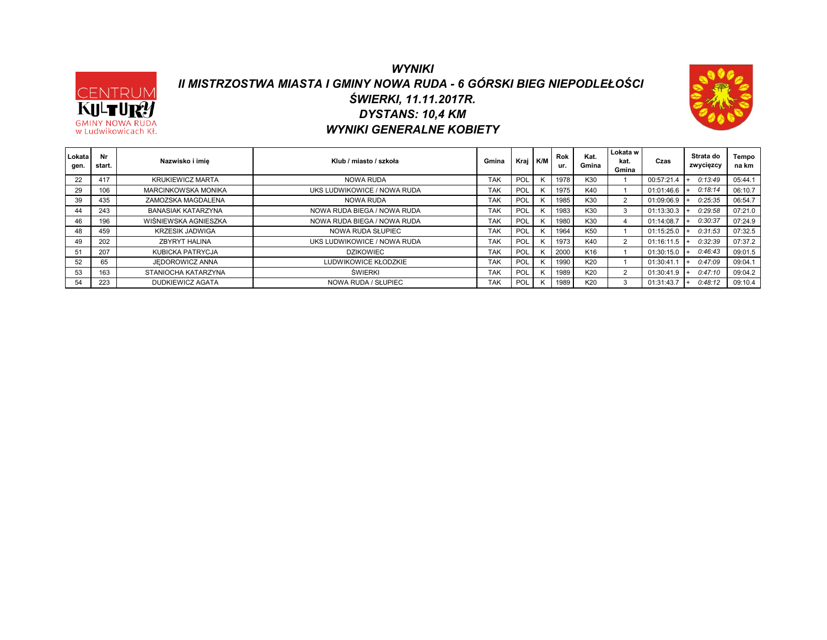#### *WYNIKI II MISTRZOSTWA MIASTA I GMINY NOWA RUDA - 6 GÓRSKI BIEG NIEPODLEŁOŚCI DYSTANS: 10,4 KM ŚWIERKI, 11.11.2017R. WYNIKI GENERALNE KOBIETY*

CENTRUM

KULTU **GMINY NOWA RUDA** w Ludwikowicach Kł.



| Lokata<br>gen. | Nr<br>start. | Nazwisko i imie            | Klub / miasto / szkoła      | Gmina      | Kraj K/M |   | <b>Rok</b><br>ur. | Kat.<br>Gmina   | Lokata w<br>kat.<br>Gmina | Czas       | Strata do<br>zwycięzcy | Tempo<br>na km |
|----------------|--------------|----------------------------|-----------------------------|------------|----------|---|-------------------|-----------------|---------------------------|------------|------------------------|----------------|
| 22             | 417          | <b>KRUKIEWICZ MARTA</b>    | NOWA RUDA                   | TAK        | POL      | K | 1978              | K30             |                           | 00:57:21.4 | 0:13:49                | 05:44.1        |
| 29             | 106          | <b>MARCINKOWSKA MONIKA</b> | UKS LUDWIKOWICE / NOWA RUDA | <b>TAK</b> | POL      | K | 1975              | K40             |                           | 01:01:46.6 | 0:18:14                | 06:10.7        |
| 39             | 435          | ZAMOZSKA MAGDALENA         | NOWA RUDA                   | <b>TAK</b> | POL      | K | 1985              | K30             | 2                         | 01:09:06.9 | 0:25:35                | 06:54.7        |
| 44             | 243          | <b>BANASIAK KATARZYNA</b>  | NOWA RUDA BIEGA / NOWA RUDA | <b>TAK</b> | POL      | K | 1983              | K30             | 3                         | 01:13:30.3 | 0:29:58                | 07:21.0        |
| 46             | 196          | WIŚNIEWSKA AGNIESZKA       | NOWA RUDA BIEGA / NOWA RUDA | <b>TAK</b> | POL      | K | 1980              | K30             |                           | 01:14:08.7 | 0:30:37                | 07:24.9        |
| 48             | 459          | <b>KRZESIK JADWIGA</b>     | NOWA RUDA SŁUPIEC           | <b>TAK</b> | POL      | K | 1964              | K <sub>50</sub> |                           | 01:15:25.0 | 0:31:53                | 07:32.5        |
| 49             | 202          | ZBYRYT HALINA              | UKS LUDWIKOWICE / NOWA RUDA | <b>TAK</b> | POL      | K | 1973              | K40             | 2                         | 01:16:11.5 | 0:32:39                | 07:37.2        |
| 51             | 207          | KUBICKA PATRYCJA           | <b>DZIKOWIEC</b>            | <b>TAK</b> | POL      | K | 2000              | K16             |                           | 01:30:15.0 | 0:46:43                | 09:01.5        |
| 52             | 65           | JEDOROWICZ ANNA            | LUDWIKOWICE KŁODZKIE        | <b>TAK</b> | POL      | K | 1990              | K20             |                           | 01:30:41   | 0:47:09                | 09:04.1        |
| 53             | 163          | STANIOCHA KATARZYNA        | ŚWIERKI                     | <b>TAK</b> | POL      | K | 1989              | K20             | $\sim$                    | 01:30:41.9 | 0:47:10                | 09:04.2        |
| 54             | 223          | DUDKIEWICZ AGATA           | NOWA RUDA / SŁUPIEC         | <b>TAK</b> | POL      | K | 1989              | K20             | 3                         | 01:31:43.7 | 0:48:12                | 09:10.4        |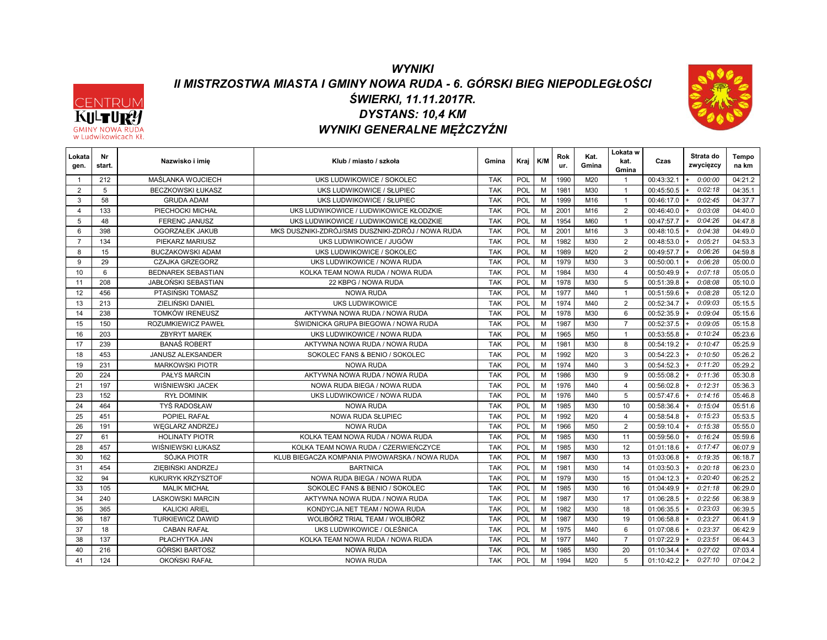# *WYNIKI II MISTRZOSTWA MIASTA I GMINY NOWA RUDA - 6. GÓRSKI BIEG NIEPODLEGŁOŚCI DYSTANS: 10,4 KM ŚWIERKI, 11.11.2017R. WYNIKI GENERALNE MĘŻCZYŹNI*



| Lokata<br>gen. | Nr<br>start. | Nazwisko i imie           | Klub / miasto / szkoła                            | Gmina      | Kraj       | K/M | Rok<br>ur. | Kat.<br>Gmina | Lokata w<br>kat.<br>Gmina | Czas       | Strata do<br>zwycięzcy | Tempo<br>na km |
|----------------|--------------|---------------------------|---------------------------------------------------|------------|------------|-----|------------|---------------|---------------------------|------------|------------------------|----------------|
|                | 212          | MAŚLANKA WOJCIECH         | UKS LUDWIKOWICE / SOKOLEC                         | <b>TAK</b> | POL        | M   | 1990       | M20           | $\mathbf{1}$              | 00:43:32.1 | 0:00:00                | 04:21.2        |
| $\overline{2}$ | 5            | <b>BECZKOWSKI ŁUKASZ</b>  | UKS LUDWIKOWICE / SŁUPIEC                         | <b>TAK</b> | <b>POL</b> | M   | 1981       | M30           | $\mathbf{1}$              | 00:45:50.5 | 0:02:18                | 04:35.1        |
| 3              | 58           | <b>GRUDA ADAM</b>         | UKS LUDWIKOWICE / SŁUPIEC                         | <b>TAK</b> | POL        | M   | 1999       | M16           | $\mathbf{1}$              | 00:46:17.0 | 0:02:45                | 04:37.7        |
| $\Delta$       | 133          | PIECHOCKI MICHAŁ          | UKS LUDWIKOWICE / LUDWIKOWICE KŁODZKIE            | <b>TAK</b> | POL        | M   | 2001       | M16           | 2                         | 00:46:40.0 | 0.03.08                | 04:40.0        |
| 5              | 48           | <b>FERENC JANUSZ</b>      | UKS LUDWIKOWICE / LUDWIKOWICE KŁODZKIE            | <b>TAK</b> | <b>POL</b> | M   | 1954       | M60           | $\overline{1}$            | 00:47:57.7 | 0:04:26                | 04:47.8        |
| 6              | 398          | OGORZAŁEK JAKUB           | MKS DUSZNIKI-ZDRÓJ/SMS DUSZNIKI-ZDRÓJ / NOWA RUDA | <b>TAK</b> | <b>POL</b> | M   | 2001       | M16           | 3                         | 00:48:10.5 | 0:04:38                | 04:49.0        |
| $\overline{7}$ | 134          | PIEKARZ MARIUSZ           | UKS LUDWIKOWICE / JUGÓW                           | <b>TAK</b> | POL        | M   | 1982       | M30           | $\overline{2}$            | 00:48:53.0 | 0:05:21                | 04:53.3        |
| 8              | 15           | <b>BUCZAKOWSKI ADAM</b>   | UKS LUDWIKOWICE / SOKOLEC                         | <b>TAK</b> | <b>POL</b> | M   | 1989       | M20           | 2                         | 00:49:57.7 | 0:06:26                | 04:59.8        |
| 9              | 29           | CZAJKA GRZEGORZ           | UKS LUDWIKOWICE / NOWA RUDA                       | <b>TAK</b> | <b>POL</b> | M   | 1979       | M30           | 3                         | 00:50:00.1 | 0:06:28                | 05:00.0        |
| 10             | 6            | <b>BEDNAREK SEBASTIAN</b> | KOLKA TEAM NOWA RUDA / NOWA RUDA                  | <b>TAK</b> | <b>POL</b> | M   | 1984       | M30           | $\overline{4}$            | 00:50:49.9 | 0:07:18                | 05:05.0        |
| 11             | 208          | JABŁONSKI SEBASTIAN       | 22 KBPG / NOWA RUDA                               | <b>TAK</b> | POL        | M   | 1978       | M30           | 5                         | 00:51:39.8 | 0.08.08                | 05:10.0        |
| 12             | 456          | PTASINSKI TOMASZ          | <b>NOWA RUDA</b>                                  | <b>TAK</b> | POL        | M   | 1977       | M40           | $\overline{1}$            | 00:51:59.6 | 0:08:28                | 05:12.0        |
| 13             | 213          | ZIELIŃSKI DANIEL          | UKS LUDWIKOWICE                                   | <b>TAK</b> | <b>POL</b> | M   | 1974       | M40           | 2                         | 00:52:34.7 | 0:09:03                | 05:15.5        |
| 14             | 238          | TOMKÓW IRENEUSZ           | AKTYWNA NOWA RUDA / NOWA RUDA                     | <b>TAK</b> | POL        | M   | 1978       | M30           | 6                         | 00:52:35.9 | 0:09:04                | 05:15.6        |
| 15             | 150          | ROZUMKIEWICZ PAWEŁ        | ŚWIDNICKA GRUPA BIEGOWA / NOWA RUDA               | <b>TAK</b> | POL        | M   | 1987       | M30           | $\overline{7}$            | 00:52:37.5 | 0:09:05                | 05:15.8        |
| 16             | 203          | <b>ZBYRYT MAREK</b>       | UKS LUDWIKOWICE / NOWA RUDA                       | <b>TAK</b> | POL        | M   | 1965       | M50           | $\mathbf{1}$              | 00:53:55.8 | 0:10:24                | 05:23.6        |
| 17             | 239          | <b>BANAŚ ROBERT</b>       | AKTYWNA NOWA RUDA / NOWA RUDA                     | <b>TAK</b> | POL        | M   | 1981       | M30           | 8                         | 00:54:19.2 | 0:10:47                | 05:25.9        |
| 18             | 453          | <b>JANUSZ ALEKSANDER</b>  | SOKOLEC FANS & BENIO / SOKOLEC                    | <b>TAK</b> | POL        | M   | 1992       | M20           | 3                         | 00:54:22.3 | 0:10:50                | 05:26.2        |
| 19             | 231          | <b>MARKOWSKI PIOTR</b>    | <b>NOWA RUDA</b>                                  | <b>TAK</b> | POL        | M   | 1974       | M40           | 3                         | 00:54:52.3 | 0:11:20                | 05:29.2        |
| 20             | 224          | <b>PAŁYS MARCIN</b>       | AKTYWNA NOWA RUDA / NOWA RUDA                     | <b>TAK</b> | POL        | M   | 1986       | M30           | 9                         | 00:55:08.2 | 0:11:36                | 05:30.8        |
| 21             | 197          | WIŚNIEWSKI JACEK          | NOWA RUDA BIEGA / NOWA RUDA                       | <b>TAK</b> | POL        | M   | 1976       | M40           | $\overline{4}$            | 00:56:02.8 | 0:12:31                | 05:36.3        |
| 23             | 152          | <b>RYŁ DOMINIK</b>        | UKS LUDWIKOWICE / NOWA RUDA                       | <b>TAK</b> | POL        | M   | 1976       | M40           | 5                         | 00:57:47.6 | 0:14:16                | 05:46.8        |
| 24             | 464          | <b>TYŚ RADOSŁAW</b>       | <b>NOWA RUDA</b>                                  | <b>TAK</b> | <b>POL</b> | M   | 1985       | M30           | 10                        | 00:58:36.4 | 0:15:04                | 05:51.6        |
| 25             | 451          | POPIEL RAFAŁ              | NOWA RUDA SŁUPIEC                                 | <b>TAK</b> | POL        | M   | 1992       | M20           | $\overline{4}$            | 00:58:54.8 | 0:15:23                | 05:53.5        |
| 26             | 191          | <b>WEGLARZ ANDRZEJ</b>    | NOWA RUDA                                         | <b>TAK</b> | POL        | M   | 1966       | M50           | $\overline{2}$            | 00:59:10.4 | 0:15:38                | 05:55.0        |
| 27             | 61           | <b>HOLINATY PIOTR</b>     | KOLKA TEAM NOWA RUDA / NOWA RUDA                  | <b>TAK</b> | <b>POL</b> | M   | 1985       | M30           | 11                        | 00:59:56.0 | 0:16:24                | 05:59.6        |
| 28             | 457          | WIŚNIEWSKI ŁUKASZ         | KOLKA TEAM NOWA RUDA / CZERWIEŃCZYCE              | <b>TAK</b> | POL        | M   | 1985       | M30           | 12                        | 01:01:18.6 | 0:17:47                | 06:07.9        |
| 30             | 162          | SÓJKA PIOTR               | KLUB BIEGACZA KOMPANIA PIWOWARSKA / NOWA RUDA     | <b>TAK</b> | POL        | M   | 1987       | M30           | 13                        | 01:03:06.8 | 0:19:35                | 06:18.7        |
| 31             | 454          | ZIEBIŃSKI ANDRZEJ         | <b>BARTNICA</b>                                   | <b>TAK</b> | POL        | M   | 1981       | M30           | 14                        | 01:03:50.3 | 0:20:18                | 06:23.0        |
| 32             | 94           | KUKURYK KRZYSZTOF         | NOWA RUDA BIEGA / NOWA RUDA                       | <b>TAK</b> | POL        | M   | 1979       | M30           | 15                        | 01:04:12.3 | 0:20:40                | 06:25.2        |
| 33             | 105          | <b>MALIK MICHAŁ</b>       | SOKOLEC FANS & BENIO / SOKOLEC                    | <b>TAK</b> | POL        | M   | 1985       | M30           | 16                        | 01:04:49.9 | 0:21:18                | 06:29.0        |
| 34             | 240          | <b>LASKOWSKI MARCIN</b>   | AKTYWNA NOWA RUDA / NOWA RUDA                     | <b>TAK</b> | POL        | M   | 1987       | M30           | 17                        | 01:06:28.5 | 0:22:56                | 06:38.9        |
| 35             | 365          | KALICKI ARIEL             | KONDYCJA.NET TEAM / NOWA RUDA                     | <b>TAK</b> | <b>POL</b> | M   | 1982       | M30           | 18                        | 01:06:35.5 | 0:23:03                | 06:39.5        |
| 36             | 187          | <b>TURKIEWICZ DAWID</b>   | WOLIBÓRZ TRIAL TEAM / WOLIBÓRZ                    | <b>TAK</b> | POL        | M   | 1987       | M30           | 19                        | 01:06:58.8 | 0:23:27                | 06:41.9        |
| 37             | 18           | <b>CABAN RAFAŁ</b>        | UKS LUDWIKOWICE / OLEŚNICA                        | <b>TAK</b> | POL        | M   | 1975       | M40           | 6                         | 01:07:08.6 | 0:23:37                | 06:42.9        |
| 38             | 137          | PŁACHYTKA JAN             | KOLKA TEAM NOWA RUDA / NOWA RUDA                  | <b>TAK</b> | POL        | M   | 1977       | M40           | $\overline{7}$            | 01:07:22.9 | 0:23:51                | 06:44.3        |
| 40             | 216          | GÓRSKI BARTOSZ            | <b>NOWA RUDA</b>                                  | <b>TAK</b> | POL        | M   | 1985       | M30           | 20                        | 01:10:34.4 | 0:27:02                | 07:03.4        |
| 41             | 124          | OKOŃSKI RAFAŁ             | <b>NOWA RUDA</b>                                  | <b>TAK</b> | POL        | M   | 1994       | M20           | 5                         | 01:10:42.2 | 0:27:10<br>$+$         | 07:04.2        |

CENTRUM **GMINY NOWA RU** w Ludwikowicach Kł.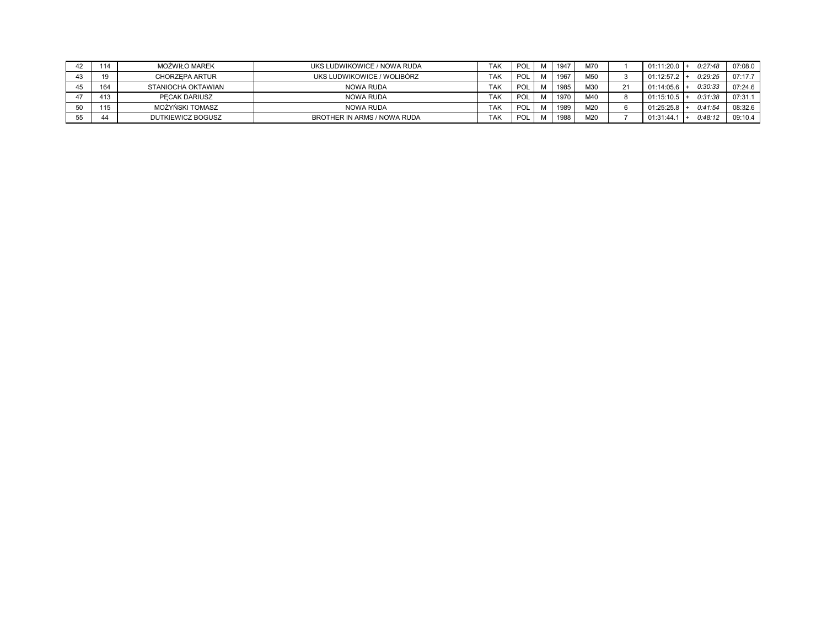| 42 | 114 | MOŻWIŁO MAREK      | UKS LUDWIKOWICE / NOWA RUDA | <b>TAK</b> | POL |   | 1947 | M70 |    | 01:11:20.0 | 0:27:48 | 07:08.0 |
|----|-----|--------------------|-----------------------------|------------|-----|---|------|-----|----|------------|---------|---------|
|    | 19  | CHORZEPA ARTUR     | UKS LUDWIKOWICE / WOLIBÓRZ  | <b>TAK</b> | POL | M | 1967 | M50 |    | 01:12:57.2 | 0:29:25 | 07:17.7 |
|    | 164 | STANIOCHA OKTAWIAN | NOWA RUDA                   | <b>TAK</b> | POL | M | 1985 | M30 | 21 | 01:14:05.6 | 0:30:33 | 07:24.6 |
|    | 413 | PECAK DARIUSZ      | NOWA RUDA                   | <b>TAK</b> | POL |   | 1970 | M40 |    | 01:15:10.5 | 0:31:38 | 07:31.1 |
|    | 115 | MOŻYŃSKI TOMASZ    | NOWA RUDA                   | <b>TAK</b> | POL |   | 1989 | M20 | 6  | 01:25:25.8 | 0:41:54 | 08:32.6 |
|    | 44  | DUTKIEWICZ BOGUSZ  | BROTHER IN ARMS / NOWA RUDA | <b>TAK</b> | POL |   | 1988 | M20 |    | 01:31:44   | 0:48:12 | 09:10.4 |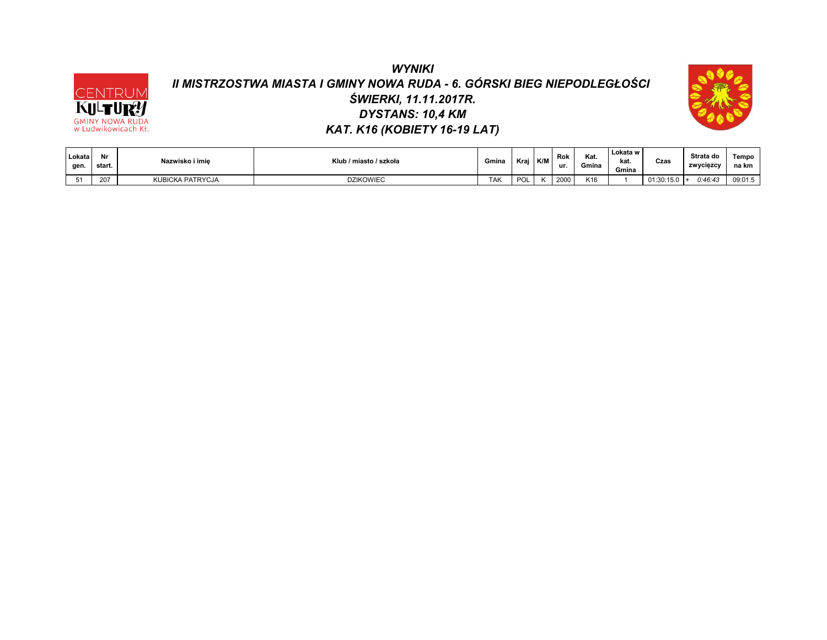# *WYNIKI II MISTRZOSTWA MIASTA I GMINY NOWA RUDA - 6. GÓRSKI BIEG NIEPODLEGŁOŚCI ŚWIERKI, 11.11.2017R. DYSTANS: 10,4 KM KAT. K16 (KOBIETY 16-19 LAT)*

CENTRUM

**GMINY NOWA RUDA**<br>w Ludwikowicach Kł.

**KULT** 



| Lokata<br>gen. | Nr<br>start. | Nazwisko i imie  | Klub / miasto / szkoła | Gmina      | Krai | K/M | Rok<br>ur. | Kat.<br>Gmina | Lokata w<br>kat.<br>Gmina | Czas           | Strata do<br>zwyciezcy | Tempo<br>na km |
|----------------|--------------|------------------|------------------------|------------|------|-----|------------|---------------|---------------------------|----------------|------------------------|----------------|
| 51             | 207          | KUBICKA PATRYCJA | <b>DZIKOWIEC</b>       | <b>TAK</b> | POL  |     | 2000       | K16           |                           | $01:30:15.0$ + | 0:46:43                | 09:01.5        |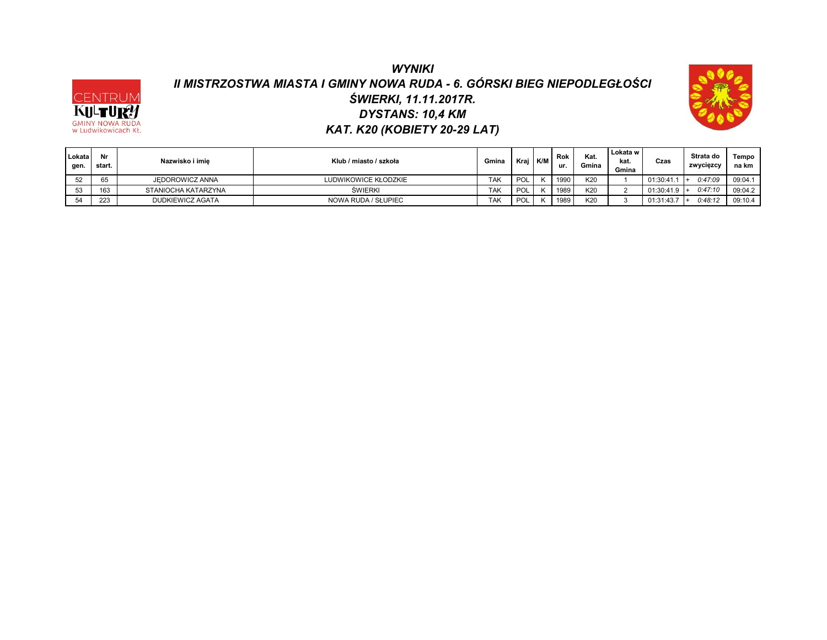# *WYNIKI II MISTRZOSTWA MIASTA I GMINY NOWA RUDA - 6. GÓRSKI BIEG NIEPODLEGŁOŚCI DYSTANS: 10,4 KM ŚWIERKI, 11.11.2017R. KAT. K20 (KOBIETY 20-29 LAT)*

CENTRUM

**KULTURY** 



| Lokata<br>gen. | Nr<br>start. | Nazwisko i imie     | Klub / miasto / szkoła | Gmina      | Kraj | K/M | Rok<br>ur. | Kat.<br>Gmina | Lokata w<br>kat.<br>Gmina | Czas           | Strata do<br>zwycięzcy | Tempo<br>na km |
|----------------|--------------|---------------------|------------------------|------------|------|-----|------------|---------------|---------------------------|----------------|------------------------|----------------|
| 52             | 65           | JEDOROWICZ ANNA     | LUDWIKOWICE KŁODZKIE   | <b>TAK</b> | POL  |     | 1990       | K20           |                           | 01:30:41.1     | 0:47:09                | 09:04.1        |
| 53             | 163          | STANIOCHA KATARZYNA | <b>SWIERKI</b>         | <b>TAK</b> | POL  |     | 1989       | K20           |                           | $01:30:41.9$ + | 0:47:10                | 09:04.2        |
| 54             | 223          | DUDKIEWICZ AGATA    | NOWA RUDA / SŁUPIEC    | <b>TAK</b> | POL  |     | 1989       | K20           |                           | 01:31:43.7     | 0:48:12                | 09:10.4        |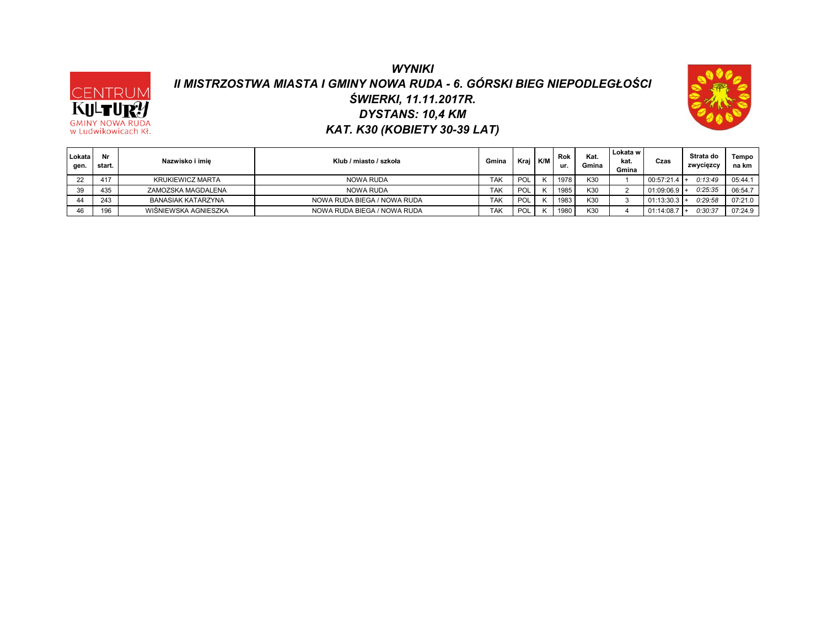## *WYNIKI II MISTRZOSTWA MIASTA I GMINY NOWA RUDA - 6. GÓRSKI BIEG NIEPODLEGŁOŚCI DYSTANS: 10,4 KM ŚWIERKI, 11.11.2017R. KAT. K30 (KOBIETY 30-39 LAT)*

CENTRUM

KILTU **GMINY NOWA RUDA** w Ludwikowicach Kł.



| Lokata<br>gen. | Nr<br>start. | Nazwisko i imie      | Klub / miasto / szkoła      | Gmina      | Kraj | K/M | Rok<br>ur. | Kat.<br>Gmina | Lokata w<br>kat.<br>Gmina | Czas           | Strata do<br>zwycięzcy | Tempo<br>na km |
|----------------|--------------|----------------------|-----------------------------|------------|------|-----|------------|---------------|---------------------------|----------------|------------------------|----------------|
| nn.            | 417          | KRUKIEWICZ MARTA     | NOWA RUDA                   | <b>TAK</b> | POL  |     | 1978       | K30           |                           | $00:57:21.4$ + | 0:13:49                | 05:44.1        |
| 39             | 435          | ZAMOZSKA MAGDALENA   | NOWA RUDA                   | <b>TAK</b> | POL  |     | 1985       | K30           |                           | $01:09:06.9$ + | 0:25:35                | 06:54.7        |
|                | 243          | BANASIAK KATARZYNA   | NOWA RUDA BIEGA / NOWA RUDA | <b>TAK</b> | POL  |     | 1983       | K30           |                           | 01:13:30.3     | 0:29:58                | 07:21.0        |
| 46             | 196          | WIŚNIEWSKA AGNIESZKA | NOWA RUDA BIEGA / NOWA RUDA | <b>TAK</b> | POL  |     | 1980       | K30           |                           | 01:14:08.7     | 0:30:37                | 07:24.9        |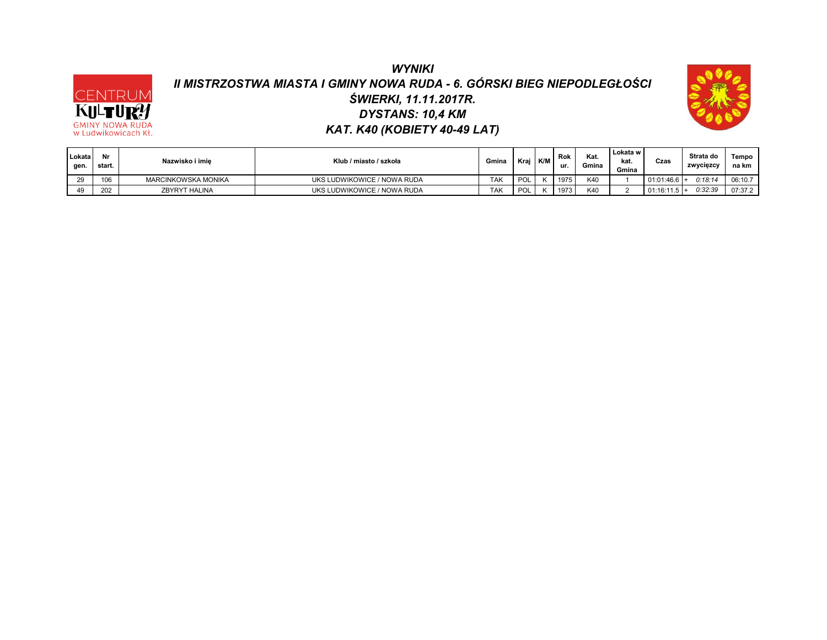## *WYNIKI II MISTRZOSTWA MIASTA I GMINY NOWA RUDA - 6. GÓRSKI BIEG NIEPODLEGŁOŚCI DYSTANS: 10,4 KM ŚWIERKI, 11.11.2017R. KAT. K40 (KOBIETY 40-49 LAT)*

CENTRUM KULTUR! **GMINY NOWA RUDA**<br>w Ludwikowicach Kł.



| Lokata<br>gen. | Nr<br>start. | Nazwisko i imie      | Klub / miasto / szkoła      | Gmina      | Krai           | K/M | Rok<br>ur. | Kat.<br>Gmina | Lokata w<br>kat.<br>Gmina | Czas           | Strata do<br>zwycięzcy | Tempo<br>na km |
|----------------|--------------|----------------------|-----------------------------|------------|----------------|-----|------------|---------------|---------------------------|----------------|------------------------|----------------|
|                | 10C          | MARCINKOWSKA MONIKA  | UKS LUDWIKOWICE / NOWA RUDA | TAK        | D <sub>O</sub> |     | 1975       | K40           |                           | $01:01:46.6$ + | 2:18:14                | 06:10.7        |
| 49             | 202          | <b>ZBYRYT HALINA</b> | UKS LUDWIKOWICE / NOWA RUDA | <b>TAK</b> | D <sub>O</sub> |     | 1973       | K40           |                           | 01:16:11.5     | 0:32:39                | 07:37.2        |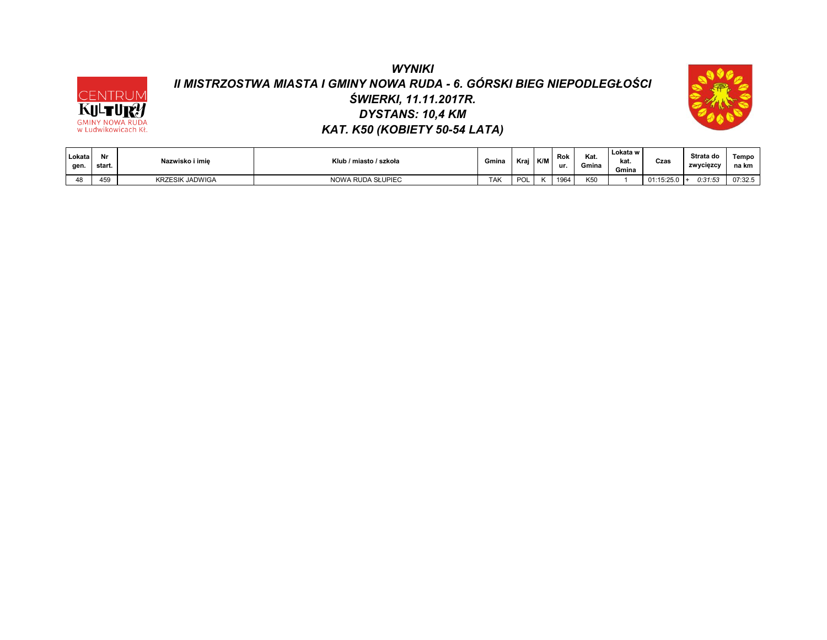# *WYNIKI II MISTRZOSTWA MIASTA I GMINY NOWA RUDA - 6. GÓRSKI BIEG NIEPODLEGŁOŚCI ŚWIERKI, 11.11.2017R. DYSTANS: 10,4 KM KAT. K50 (KOBIETY 50-54 LATA)*

CENTRUM

**KULTURY** 



| Lokata<br>gen. | Nr<br>start. | Nazwisko i imie        | Klub / miasto / szkoła | Gmina      | Krai | K/M | Rok<br>ur. | Kat.<br>Gmina | Lokata w<br>kat.<br>Gmina | Czas       | Strata do<br>zwycięzcy | Tempo<br>na km |
|----------------|--------------|------------------------|------------------------|------------|------|-----|------------|---------------|---------------------------|------------|------------------------|----------------|
|                | 459          | <b>KRZESIK JADWIGA</b> | NOWA RUDA SŁUPIEC      | <b>TAK</b> | POL  |     | 1964       | K50           |                           | 01:15:25.0 | 0:31:53<br>- 14        | 07:32.5        |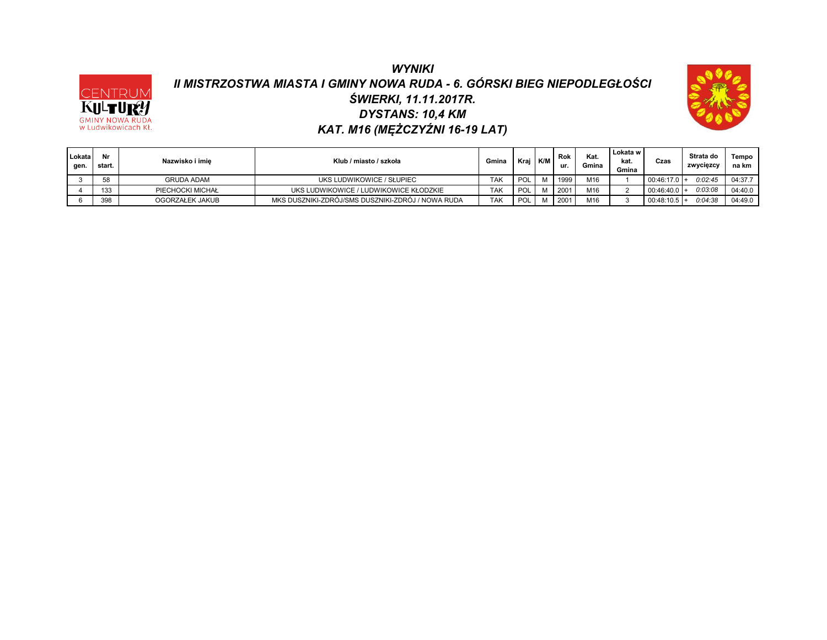### *WYNIKI II MISTRZOSTWA MIASTA I GMINY NOWA RUDA - 6. GÓRSKI BIEG NIEPODLEGŁOŚCI DYSTANS: 10,4 KM ŚWIERKI, 11.11.2017R. KAT. M16 (MĘŻCZYŹNI 16-19 LAT)*

CENTRUM KULTU **GMINY NOWA RUDA**<br>w Ludwikowicach Kł.



| Lokata<br>gen. | Nr<br>start. | Nazwisko i imie   | Klub / miasto / szkoła                            | Gmina      | Krai | <b>K/M</b> | Rok<br>ur. | Kat.<br>Gmina | Lokata w<br>kat.<br>Gmina | Czas           | Strata do<br>zwycięzcy | Tempo<br>na km |
|----------------|--------------|-------------------|---------------------------------------------------|------------|------|------------|------------|---------------|---------------------------|----------------|------------------------|----------------|
|                | 58           | <b>GRUDA ADAM</b> | UKS LUDWIKOWICE / SŁUPIEC                         | <b>TAK</b> | POI  |            | 1999       | M16           |                           | $00:46:17.0$ + | 0:02:45                | 04:37.7        |
|                | 133          | PIECHOCKI MICHAŁ  | UKS LUDWIKOWICE / LUDWIKOWICE KŁODZKIE            | <b>TAK</b> | POI  |            | 2001       | M16           |                           | $00:46:40.0 +$ | 0.03.08                | 04:40.0        |
|                | 398          | OGORZAŁEK JAKUB   | MKS DUSZNIKI-ZDRÓJ/SMS DUSZNIKI-ZDRÓJ / NOWA RUDA | <b>TAK</b> | POI  |            | 2001       | M16           |                           | $00:48:10.5$ + | 0.04.38                | 04:49.0        |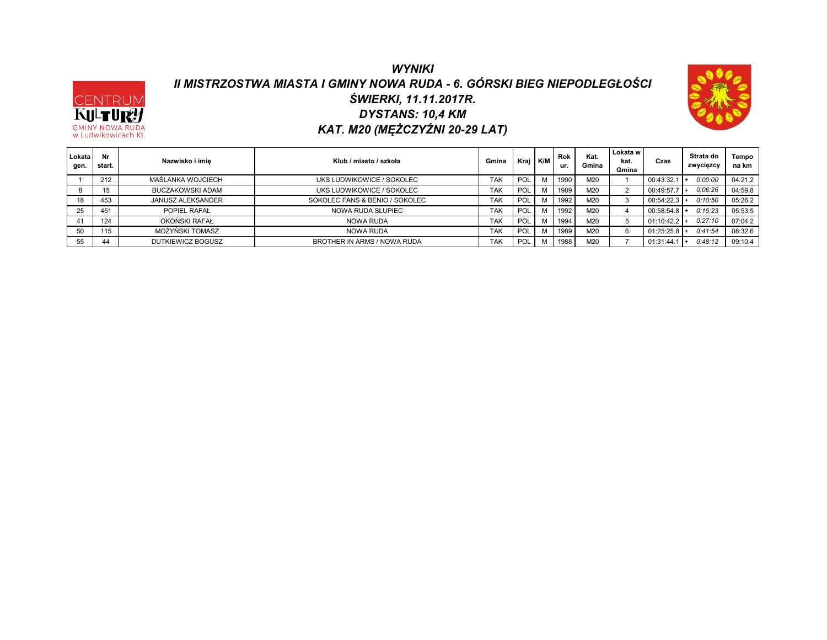### *WYNIKI II MISTRZOSTWA MIASTA I GMINY NOWA RUDA - 6. GÓRSKI BIEG NIEPODLEGŁOŚCI DYSTANS: 10,4 KM ŚWIERKI, 11.11.2017R. KAT. M20 (MĘŻCZYŹNI 20-29 LAT)*

CENTRUM<br>KULTURY

**GMINY NOWA RUDA**<br>w Ludwikowicach Kł.



| Lokata<br>gen. | Nr<br>start. | Nazwisko i imie          | Klub / miasto / szkoła         | Gmina      | Kraj | K/M      | <b>Rok</b><br>ur. | Kat.<br>Gmina   | Lokata w<br>kat.<br>Gmina | Czas       | Strata do<br>zwycięzcy | Tempo<br>na km |
|----------------|--------------|--------------------------|--------------------------------|------------|------|----------|-------------------|-----------------|---------------------------|------------|------------------------|----------------|
|                | 212          | MAŚLANKA WOJCIECH        | UKS LUDWIKOWICE / SOKOLEC      | <b>TAK</b> | POL  |          | 1990              | M20             |                           | 00:43:32.1 | 0:00:00                | 04:21.2        |
|                | 15           | <b>BUCZAKOWSKI ADAM</b>  | UKS LUDWIKOWICE / SOKOLEC      | <b>TAK</b> | POL  |          | 1989              | M20             | $\epsilon$                | 00:49:57.7 | 0.06.26                | 04:59.8        |
|                | 453          | <b>JANUSZ ALEKSANDER</b> | SOKOLEC FANS & BENIO / SOKOLEC | <b>TAK</b> | POL  | <b>A</b> | 1992              | M20             | - 0                       | 00:54:22.3 | 0:10:50                | 05:26.2        |
| 25             | 451          | POPIEL RAFAL             | NOWA RUDA SŁUPIEC              | <b>TAK</b> | POL  |          | 1992              | M <sub>20</sub> |                           | 00:58:54.8 | 0:15:23                | 05:53.5        |
|                | 124          | OKOŃSKI RAFAŁ            | NOWA RUDA                      | <b>TAK</b> | POL  | M        | 1994              | M20             |                           | 01:10:42.2 | 0:27:10                | 07:04.2        |
|                | 115          | MOŻYŃSKI TOMASZ          | NOWA RUDA                      | <b>TAK</b> | POL  |          | 1989              | M20             | 6                         | 01:25:25.8 | 0.41.54                | 08:32.6        |
|                | 44           | DUTKIEWICZ BOGUSZ        | BROTHER IN ARMS / NOWA RUDA    | <b>TAK</b> | POL  |          | 1988              | M20             |                           | 01:31:44   | 0:48:12                | 09:10.4        |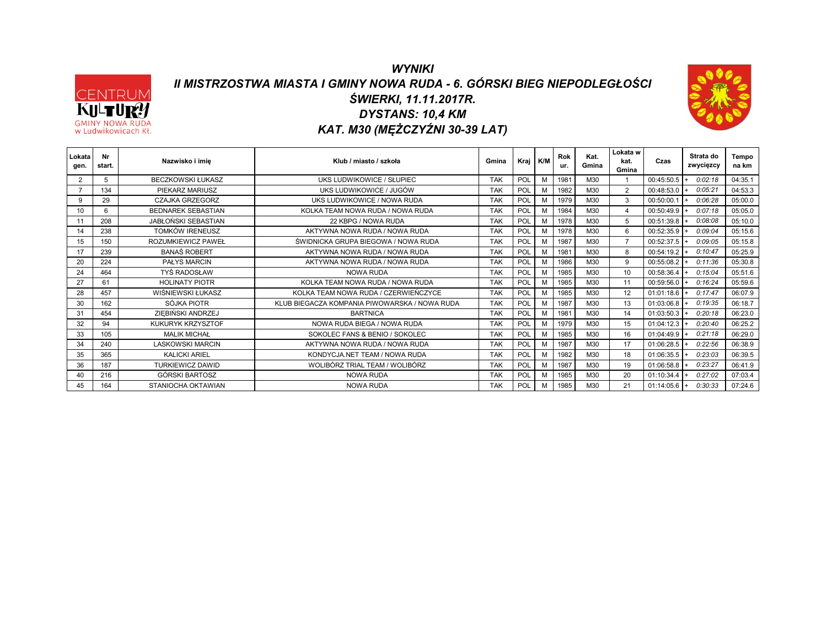#### *WYNIKI II MISTRZOSTWA MIASTA I GMINY NOWA RUDA - 6. GÓRSKI BIEG NIEPODLEGŁOŚCI DYSTANS: 10,4 KM ŚWIERKI, 11.11.2017R. KAT. M30 (MĘŻCZYŹNI 30-39 LAT)*

CENTRUM KULTURY **GMINY NOWA RUDA**<br>w Ludwikowicach Kł.



| Lokata<br>gen. | Nr<br>start. | Nazwisko i imie            | Klub / miasto / szkoła                        | Gmina      | Krai       | K/N | Rok<br>ur. | Kat.<br>Gmina | Lokata w<br>kat.<br>Gmina | Czas           | Strata do<br>zwycięzcy | Tempo<br>na km |
|----------------|--------------|----------------------------|-----------------------------------------------|------------|------------|-----|------------|---------------|---------------------------|----------------|------------------------|----------------|
|                | 5            | <b>BECZKOWSKI ŁUKASZ</b>   | UKS LUDWIKOWICE / SŁUPIEC                     | <b>TAK</b> | POL        | M   | 1981       | M30           |                           | 00:45:50.5     | 0:02:18                | 04:35.1        |
|                | 134          | PIEKARZ MARIUSZ            | UKS LUDWIKOWICE / JUGÓW                       | <b>TAK</b> | POL        | M   | 1982       | M30           | 2                         | 00:48:53.0     | 0:05:21                | 04:53.3        |
| 9              | 29           | CZAJKA GRZEGORZ            | UKS LUDWIKOWICE / NOWA RUDA                   | <b>TAK</b> | POL        | M   | 1979       | M30           | 3                         | 00:50:00.1     | 0:06:28                | 05:00.0        |
| 10             | 6            | <b>BEDNAREK SEBASTIAN</b>  | KOLKA TEAM NOWA RUDA / NOWA RUDA              | <b>TAK</b> | POL        | м   | 1984       | M30           | 4                         | 00:50:49.9     | 0:07:18                | 05:05.0        |
| 11             | 208          | <b>JABŁOŃSKI SEBASTIAN</b> | 22 KBPG / NOWA RUDA                           | <b>TAK</b> | POL        | M   | 1978       | M30           | 5                         | 00:51:39.8     | 0:08:08                | 05:10.0        |
| 14             | 238          | <b>TOMKÓW IRENEUSZ</b>     | AKTYWNA NOWA RUDA / NOWA RUDA                 | <b>TAK</b> | POL        | M   | 1978       | M30           | 6                         | 00:52:35.9     | 0:09:04                | 05:15.6        |
| 15             | 150          | ROZUMKIEWICZ PAWEŁ         | ŚWIDNICKA GRUPA BIEGOWA / NOWA RUDA           | <b>TAK</b> | POL        | м   | 1987       | M30           | $\overline{7}$            | 00:52:37.5     | 0.09:05                | 05:15.8        |
| 17             | 239          | <b>BANAŚ ROBERT</b>        | AKTYWNA NOWA RUDA / NOWA RUDA                 | <b>TAK</b> | <b>POL</b> | M   | 1981       | M30           | 8                         | 00:54:19.2     | 0:10:47                | 05:25.9        |
| 20             | 224          | <b>PAŁYS MARCIN</b>        | AKTYWNA NOWA RUDA / NOWA RUDA                 | <b>TAK</b> | POL        | M   | 1986       | M30           | 9                         | 00:55:08.2     | 0:11:36                | 05:30.8        |
| 24             | 464          | <b>TYŚ RADOSŁAW</b>        | <b>NOWA RUDA</b>                              | <b>TAK</b> | POL        | M   | 1985       | M30           | 10                        | 00:58:36.4     | 0:15:04                | 05:51.6        |
| 27             | 61           | <b>HOLINATY PIOTR</b>      | KOLKA TEAM NOWA RUDA / NOWA RUDA              | <b>TAK</b> | POL        | M   | 1985       | M30           | 11                        | 00:59:56.0     | 0:16:24                | 05:59.6        |
| 28             | 457          | WIŚNIEWSKI ŁUKASZ          | KOLKA TEAM NOWA RUDA / CZERWIEŃCZYCE          | <b>TAK</b> | POL        | M   | 1985       | M30           | 12                        | 01:01:18.6     | 0:17:47                | 06:07.9        |
| 30             | 162          | SÓJKA PIOTR                | KLUB BIEGACZA KOMPANIA PIWOWARSKA / NOWA RUDA | <b>TAK</b> | POL        | M   | 1987       | M30           | 13                        | 01:03:06.8     | 0:19:35                | 06:18.7        |
| 31             | 454          | ZIEBIŃSKI ANDRZEJ          | <b>BARTNICA</b>                               | <b>TAK</b> | <b>POL</b> | M   | 1981       | M30           | 14                        | 01:03:50.3     | 0:20:18                | 06:23.0        |
| 32             | 94           | KUKURYK KRZYSZTOF          | NOWA RUDA BIEGA / NOWA RUDA                   | <b>TAK</b> | POL        | M   | 1979       | M30           | 15                        | 01:04:12.3     | 0:20:40                | 06:25.2        |
| 33             | 105          | <b>MALIK MICHAŁ</b>        | SOKOLEC FANS & BENIO / SOKOLEC                | <b>TAK</b> | POL        | M   | 1985       | M30           | 16                        | 01:04:49.9     | 0:21:18                | 06:29.0        |
| 34             | 240          | <b>LASKOWSKI MARCIN</b>    | AKTYWNA NOWA RUDA / NOWA RUDA                 | <b>TAK</b> | POL        | м   | 1987       | M30           | 17                        | 01:06:28.5     | 0:22:56                | 06:38.9        |
| 35             | 365          | <b>KALICKI ARIEL</b>       | KONDYCJA.NET TEAM / NOWA RUDA                 | <b>TAK</b> | POL        | M   | 1982       | M30           | 18                        | 01:06:35.5     | 0:23:03                | 06:39.5        |
| 36             | 187          | <b>TURKIEWICZ DAWID</b>    | WOLIBÓRZ TRIAL TEAM / WOLIBÓRZ                | <b>TAK</b> | <b>POL</b> | M   | 1987       | M30           | 19                        | 01:06:58.8     | 0:23:27                | 06:41.9        |
| 40             | 216          | GÓRSKI BARTOSZ             | NOWA RUDA                                     | <b>TAK</b> | POL        | M   | 1985       | M30           | 20                        | 01:10:34.4     | 0:27:02                | 07:03.4        |
| 45             | 164          | STANIOCHA OKTAWIAN         | <b>NOWA RUDA</b>                              | <b>TAK</b> | POL        | м   | 1985       | M30           | 21                        | $01:14:05.6$ + | 0:30:33                | 07:24.6        |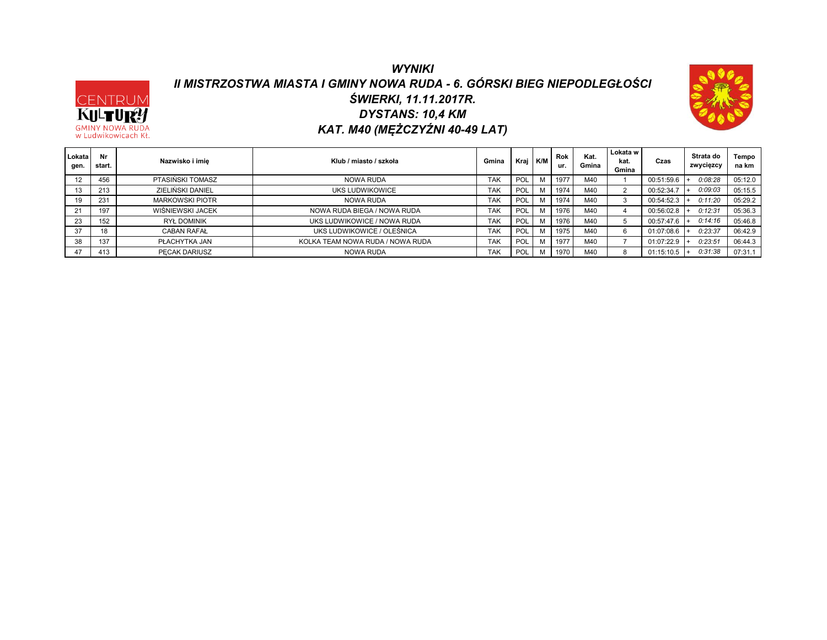### *WYNIKI II MISTRZOSTWA MIASTA I GMINY NOWA RUDA - 6. GÓRSKI BIEG NIEPODLEGŁOŚCI DYSTANS: 10,4 KM ŚWIERKI, 11.11.2017R. KAT. M40 (MĘŻCZYŹNI 40-49 LAT)*

CENTRUM KULTURY **GMINY NOWA RUD** w Ludwikowicach Kł.



| Lokata<br>gen. | Nr<br>start. | Nazwisko i imie        | Klub / miasto / szkoła           | Gmina      | Kraj       | K/M | Rok<br>ur. | Kat.<br>Gmina    | Lokata w<br>kat.<br>Gmina | Czas       | Strata do<br>zwycięzcy | Tempo<br>na km |
|----------------|--------------|------------------------|----------------------------------|------------|------------|-----|------------|------------------|---------------------------|------------|------------------------|----------------|
|                | 456          | PTASIŃSKI TOMASZ       | <b>NOWA RUDA</b>                 | <b>TAK</b> | POL        | M   | 1977       | M <sub>4</sub> C |                           | 00:51:59.6 | 0.08.28                | 05:12.0        |
|                | 213          | ZIELIŃSKI DANIEL       | UKS LUDWIKOWICE                  | <b>TAK</b> | <b>POL</b> |     | 1974       | M4C              | $\sim$                    | 00:52:34.7 | 0.09:03                | 05:15.5        |
| 19             | 231          | <b>MARKOWSKI PIOTR</b> | NOWA RUDA                        | TAK        | POL        |     | 1974       | M4C              | - 3                       | 00:54:52.3 | 0:11:20                | 05:29.2        |
| 21             | 197          | WIŚNIEWSKI JACEK       | NOWA RUDA BIEGA / NOWA RUDA      | <b>TAK</b> | <b>POL</b> |     | 1976       | M40              |                           | 00:56:02.8 | 0:12:31                | 05:36.3        |
| 23             | 152          | <b>RYŁ DOMINIK</b>     | UKS LUDWIKOWICE / NOWA RUDA      | <b>TAK</b> | POL        |     | 1976       | M4C              |                           | 00:57:47.6 | 0:14:16                | 05:46.8        |
| 37             | 18           | <b>CABAN RAFAL</b>     | UKS LUDWIKOWICE / OLEŚNICA       | <b>TAK</b> | POL        |     | 1975       | M4C              | 6                         | 01:07:08.6 | 0:23:37                | 06:42.9        |
| 38             | 137          | PŁACHYTKA JAN          | KOLKA TEAM NOWA RUDA / NOWA RUDA | <b>TAK</b> | POL        |     | 1977       | M <sub>4</sub> C |                           | 01:07:22.9 | 0:23:51                | 06:44.3        |
| 47             | 413          | PECAK DARIUSZ          | NOWA RUDA                        | TAK        | <b>POL</b> | м   | 1970       | M40              |                           | 01:15:10.5 | 0:31:38                | 07:31.1        |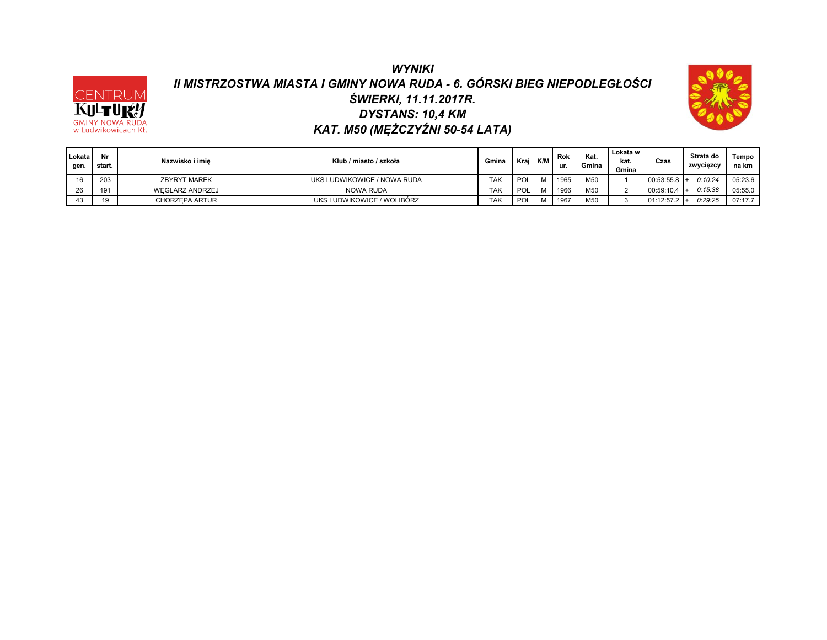# *WYNIKI II MISTRZOSTWA MIASTA I GMINY NOWA RUDA - 6. GÓRSKI BIEG NIEPODLEGŁOŚCI DYSTANS: 10,4 KM ŚWIERKI, 11.11.2017R. KAT. M50 (MĘŻCZYŹNI 50-54 LATA)*

CENTRUM KULTURY **GMINY NOWA RUDA**<br>w Ludwikowicach Kł.



| Lokata<br>aen. | Nr<br>start. | Nazwisko i imie       | Klub / miasto / szkoła      | Gmina      | Kraj | K/M | Rok<br>ur. | Kat.<br>Gmina   | Lokata w<br>kat.<br>Gmina | Czas       | Strata do<br>zwycięzcy | Tempo<br>na km |
|----------------|--------------|-----------------------|-----------------------------|------------|------|-----|------------|-----------------|---------------------------|------------|------------------------|----------------|
|                | 203          | <b>ZBYRYT MAREK</b>   | UKS LUDWIKOWICE / NOWA RUDA | <b>TAK</b> | POL  |     | 1965       | M <sub>50</sub> |                           | 00:53:55.8 | 0:10:24                | 05:23.6        |
| ne.<br>ZO.     | 191          | WEGLARZ ANDRZEJ       | NOWA RUDA                   | TAK        | POL  |     | 1966       | M <sub>50</sub> |                           | 00:59:10.4 | 0:15:38                | 05:55.0        |
|                |              | <b>CHORZEPA ARTUR</b> | UKS LUDWIKOWICE / WOLIBÓRZ  | <b>TAK</b> | POL  | M   | 1967       | M50             |                           | 01:12:57.2 | 0:29:25                | 07:17.7        |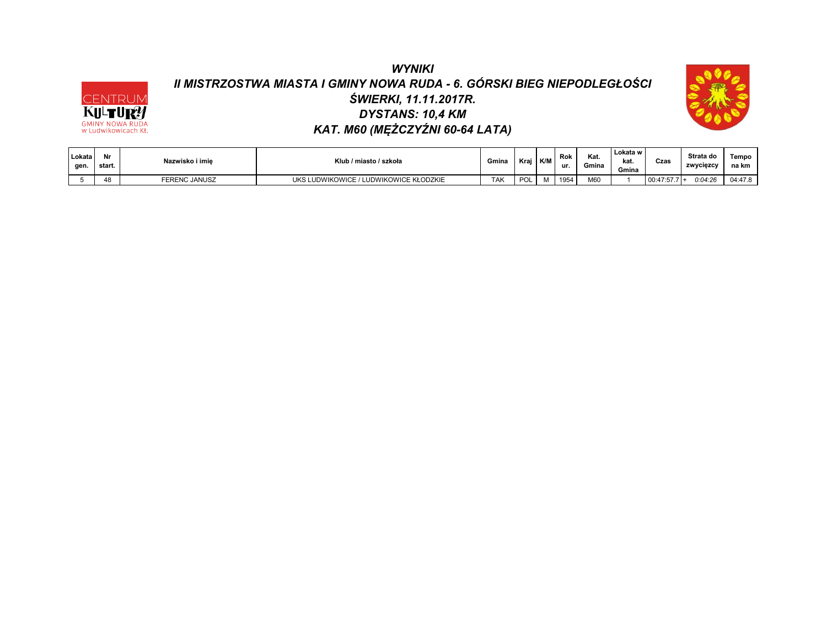# *WYNIKI II MISTRZOSTWA MIASTA I GMINY NOWA RUDA - 6. GÓRSKI BIEG NIEPODLEGŁOŚCI DYSTANS: 10,4 KM ŚWIERKI, 11.11.2017R. KAT. M60 (MĘŻCZYŹNI 60-64 LATA)*

CENTRUM<br>KULTURY<br>GMINY NOWA RUDA<br>W Ludwikowicach Kł.



| Lokata<br>gen | Nr<br>start. | Nazwisko i imie      | Klub / miasto / szkoła                       | Gmina      | Kra | K/M | Rok<br>ur. | Kat.<br>Gmina | Lokata w<br>kat.<br>Gmina | Czas           | Strata do<br>zwycięzcy | Tempo<br>na km |
|---------------|--------------|----------------------|----------------------------------------------|------------|-----|-----|------------|---------------|---------------------------|----------------|------------------------|----------------|
|               | 48           | <b>FERENC JANUSZ</b> | LUDWIKOWICE KŁODZKIE<br>LUDWIKOWICE<br>JKS I | <b>TAK</b> | וחם |     | 1954       | M60           |                           | $00:47:57.7$ + | 0:04:26                | 04:47.8        |